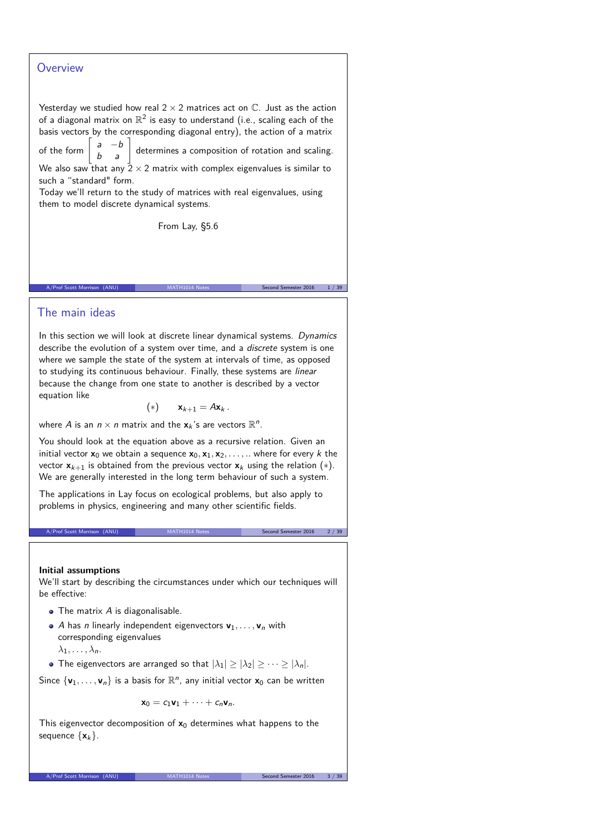### **Overview**

Yesterday we studied how real  $2 \times 2$  matrices act on  $\mathbb C$ . Just as the action of a diagonal matrix on  $\mathbb{R}^2$  is easy to understand (i.e., scaling each of the basis vectors by the corresponding diagonal entry), the action of a matrix

of the form  $\begin{bmatrix} a & -b \\ b & a \end{bmatrix}$ determines a composition of rotation and scaling. We also saw that any  $2 \times 2$  matrix with complex eigenvalues is similar to

such a "standard" form. Today we'll return to the study of matrices with real eigenvalues, using

them to model discrete dynamical systems.

From Lay, §5.6

A/Prof Scott Morrison (ANU) MATH1014 Notes Second Semester 2016 1/39

### The main ideas

In this section we will look at discrete linear dynamical systems. Dynamics describe the evolution of a system over time, and a discrete system is one where we sample the state of the system at intervals of time, as opposed to studying its continuous behaviour. Finally, these systems are linear because the change from one state to another is described by a vector equation like

$$
(*)\qquad \mathbf{x}_{k+1}=A\mathbf{x}_k\,.
$$

where A is an  $n \times n$  matrix and the  $\mathbf{x}_k$ 's are vectors  $\mathbb{R}^n$ .

You should look at the equation above as a recursive relation. Given an initial vector  $x_0$  we obtain a sequence  $x_0, x_1, x_2, \ldots, \ldots$  where for every k the vector  $x_{k+1}$  is obtained from the previous vector  $x_k$  using the relation  $(*)$ . We are generally interested in the long term behaviour of such a system.

The applications in Lay focus on ecological problems, but also apply to problems in physics, engineering and many other scientific fields.

#### **Initial assumptions**

We'll start by describing the circumstances under which our techniques will be effective:

A/Prof Scott Morrison (ANU) MATH1014 Notes Second Semester 2016 2 / 39

- $\bullet$  The matrix  $A$  is diagonalisable.
- $\bullet$  A has *n* linearly independent eigenvectors  $\mathbf{v}_1, \ldots, \mathbf{v}_n$  with corresponding eigenvalues  $\lambda_1, \ldots, \lambda_n$ .
- The eigenvectors are arranged so that  $|\lambda_1| \geq |\lambda_2| \geq \cdots \geq |\lambda_n|$ .

Since  $\{v_1, \ldots, v_n\}$  is a basis for  $\mathbb{R}^n$ , any initial vector  $x_0$  can be written

$$
\mathbf{x}_0 = c_1 \mathbf{v}_1 + \cdots + c_n \mathbf{v}_n.
$$

This eigenvector decomposition of  $x_0$  determines what happens to the sequence  $\{x_k\}$ .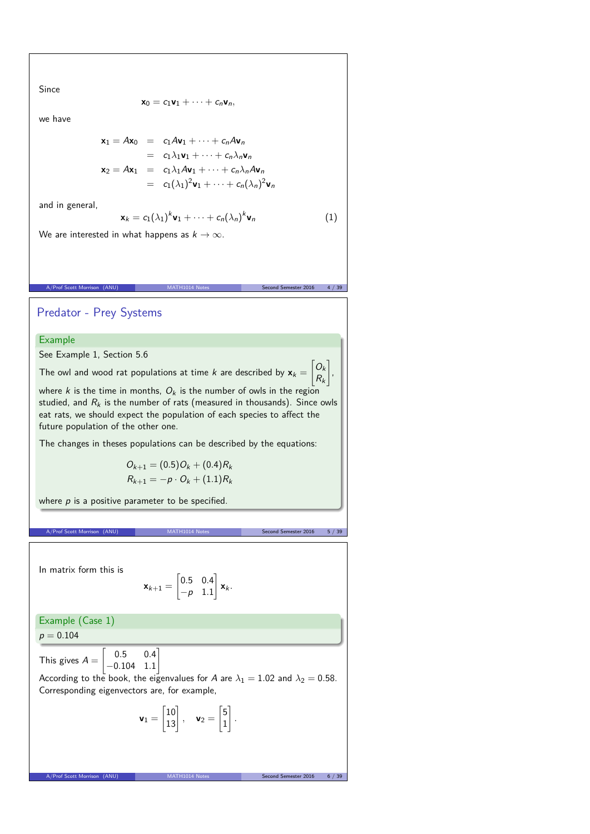Since

$$
\mathbf{x}_0 = c_1 \mathbf{v}_1 + \cdots + c_n \mathbf{v}_n,
$$

we have

$$
\mathbf{x}_1 = A\mathbf{x}_0 = c_1 A\mathbf{v}_1 + \dots + c_n A\mathbf{v}_n
$$
  
\n
$$
= c_1 \lambda_1 \mathbf{v}_1 + \dots + c_n \lambda_n \mathbf{v}_n
$$
  
\n
$$
\mathbf{x}_2 = A\mathbf{x}_1 = c_1 \lambda_1 A\mathbf{v}_1 + \dots + c_n \lambda_n A\mathbf{v}_n
$$
  
\n
$$
= c_1 (\lambda_1)^2 \mathbf{v}_1 + \dots + c_n (\lambda_n)^2 \mathbf{v}_n
$$

and in general,

$$
\mathbf{x}_k = c_1(\lambda_1)^k \mathbf{v}_1 + \dots + c_n(\lambda_n)^k \mathbf{v}_n \tag{1}
$$

We are interested in what happens as  $k \to \infty$ .

# Predator - Prey Systems

### Example

See Example 1, Section 5.6

The owl and wood rat populations at time  $k$  are described by  $\mathbf{x}_k =$  $\bigcap_{k}$  $R_k$ 

A/Prof Scott Morrison (ANU) MATH1014 Notes Second Semester 2016 4 / 39

where k is the time in months,  $O_k$  is the number of owls in the region studied, and  $R_k$  is the number of rats (measured in thousands). Since owls eat rats, we should expect the population of each species to affect the future population of the other one.

The changes in theses populations can be described by the equations:

$$
O_{k+1} = (0.5)O_k + (0.4)R_k
$$
  

$$
R_{k+1} = -p \cdot O_k + (1.1)R_k
$$

where  $p$  is a positive parameter to be specified.

A/Prof Scott Morrison (ANU) MATH1014 Notes Second Semester 2016 5 / 39

1 ,

In matrix form this is

$$
\mathbf{x}_{k+1} = \begin{bmatrix} 0.5 & 0.4 \\ -p & 1.1 \end{bmatrix} \mathbf{x}_k.
$$

Example (Case 1)

 $p = 0.104$ 

This gives  $A =$  $\Gamma$  $0.5 \t 0.4$ −0*.*104 1*.*1

According to the book, the eigenvalues for A are  $\lambda_1 = 1.02$  and  $\lambda_2 = 0.58$ . Corresponding eigenvectors are, for example,

$$
\mathbf{v}_1 = \begin{bmatrix} 10 \\ 13 \end{bmatrix}, \quad \mathbf{v}_2 = \begin{bmatrix} 5 \\ 1 \end{bmatrix}.
$$

A/Prof Scott Morrison (ANU) MATH1014 Notes Second Semester 2016 6 /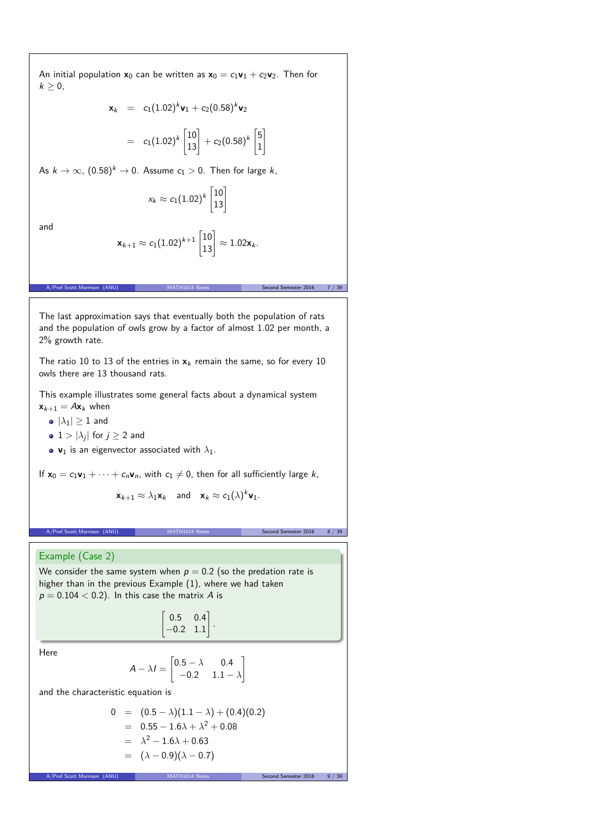An initial population  $x_0$  can be written as  $x_0 = c_1v_1 + c_2v_2$ . Then for  $k\geq 0$ ,

$$
\mathbf{x}_k = c_1(1.02)^k \mathbf{v}_1 + c_2(0.58)^k \mathbf{v}_2
$$

 $= \quad c_1(1.02)^k \begin{bmatrix} 10 \ 13 \end{bmatrix} + c_2(0.58)^k \begin{bmatrix} 5 \ 1 \end{bmatrix}$ 1  $\overline{1}$ 

As  $k \to \infty$ ,  $(0.58)^k \to 0$ . Assume  $c_1 > 0$ . Then for large k,

$$
x_k \approx c_1(1.02)^k \begin{bmatrix} 10\\13 \end{bmatrix}
$$

and

$$
\mathbf{x}_{k+1} \approx c_1(1.02)^{k+1} \begin{bmatrix} 10 \\ 13 \end{bmatrix} \approx 1.02 \mathbf{x}_k.
$$

A/Prof Scott Morrison (ANU) MATH1014 Notes Second Semester 2016 7 / 39

The last approximation says that eventually both the population of rats and the population of owls grow by a factor of almost 1.02 per month, a 2% growth rate.

The ratio 10 to 13 of the entries in  $x_k$  remain the same, so for every 10 owls there are 13 thousand rats.

This example illustrates some general facts about a dynamical system  $\mathbf{x}_{k+1} = A\mathbf{x}_k$  when

 $\bullet$   $|\lambda_1| \geq 1$  and

• 
$$
1 > |\lambda_j|
$$
 for  $j \ge 2$  and

•  $v_1$  is an eigenvector associated with  $\lambda_1$ .

If  $x_0 = c_1v_1 + \cdots + c_nv_n$ , with  $c_1 \neq 0$ , then for all sufficiently large k,

$$
\mathbf{x}_{k+1} \approx \lambda_1 \mathbf{x}_k \quad \text{and} \quad \mathbf{x}_k \approx c_1(\lambda)^k \mathbf{v}_1.
$$

A/Prof Scott Morrison (ANU) MATH1014 Notes Second Semester 2016 8 / 39

## Example (Case 2)

We consider the same system when  $p = 0.2$  (so the predation rate is higher than in the previous Example (1), where we had taken  $p = 0.104 < 0.2$ ). In this case the matrix A is

$$
\begin{bmatrix} 0.5 & 0.4 \\ -0.2 & 1.1 \end{bmatrix}
$$

*.*

Here

$$
A - \lambda I = \begin{bmatrix} 0.5 - \lambda & 0.4 \\ -0.2 & 1.1 - \lambda \end{bmatrix}
$$

and the characteristic equation is

$$
0 = (0.5 - \lambda)(1.1 - \lambda) + (0.4)(0.2)
$$
  
= 0.55 - 1.6\lambda + \lambda<sup>2</sup> + 0.08  
= \lambda<sup>2</sup> - 1.6\lambda + 0.63  
= (\lambda - 0.9)(\lambda - 0.7)

A/Prof Scott Morrison (ANU) MATH1014 Notes Second Semester 2016 9 / 3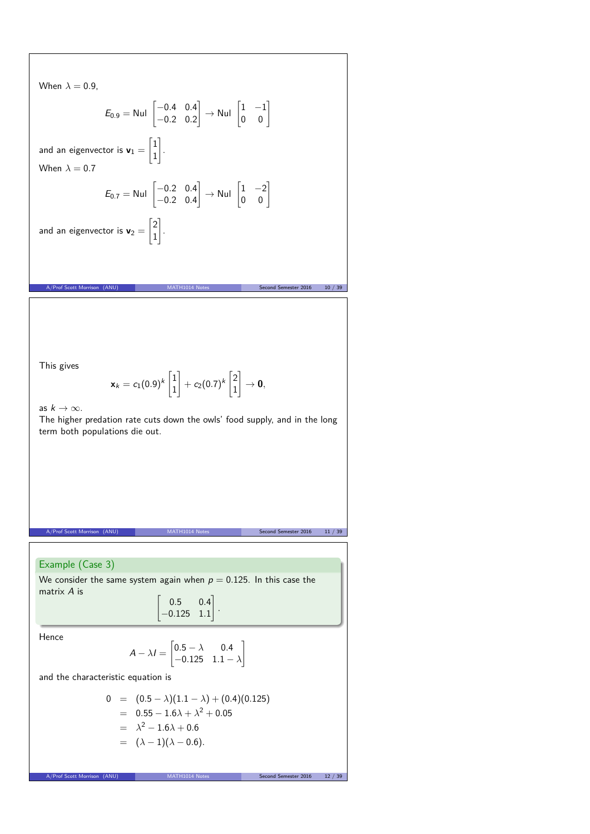When 
$$
\lambda = 0.9
$$
,  
\n $E_{0.9} = \text{Nul} \begin{bmatrix} -0.4 & 0.4 \\ -0.2 & 0.2 \end{bmatrix} \rightarrow \text{Nul} \begin{bmatrix} 1 & -1 \\ 0 & 0 \end{bmatrix}$   
\nand an eigenvector is  $\mathbf{v}_1 = \begin{bmatrix} 1 \\ 1 \end{bmatrix}$ .  
\nWhen  $\lambda = 0.7$   
\n $E_{0.7} = \text{Nul} \begin{bmatrix} -0.2 & 0.4 \\ -0.2 & 0.4 \end{bmatrix} \rightarrow \text{Nul} \begin{bmatrix} 1 & -2 \\ 0 & 0 \end{bmatrix}$   
\nand an eigenvector is  $\mathbf{v}_2 = \begin{bmatrix} 2 \\ 1 \end{bmatrix}$ .  
\n  
\n  
\n $\text{Answer 16.2.2}$  and  $\text{Answer 2015}$  and  $\text{40.3.3}$   
\n $\mathbf{v}_{\text{number}} = \mathbf{v}_1(0.9)^k \begin{bmatrix} 1 \\ 1 \end{bmatrix} + c_2(0.7)^k \begin{bmatrix} 2 \\ 1 \end{bmatrix} \rightarrow \mathbf{0}$ ,  
\nas  $k \rightarrow \infty$ .  
\nThe higher prediction rate cuts down the owls' food supply, and in the long term both populations die out.  
\n  
\n  
\n  
\n**Example** (Case 3)  
\n  
\nWe consider the same system again when  $p = 0.125$ . In this case the matrix A is  
\n
$$
\begin{bmatrix} 0.5 & 0.4 \\ -0.125 & 1.1 \end{bmatrix}
$$
.  
\nHence  
\n $A - \lambda I = \begin{bmatrix} 0.5 - \lambda & 0.4 \\ -0.125 & 1.1 - \lambda \end{bmatrix}$   
\nand the characteristic equation is  
\n
$$
0 = (0.5 - \lambda)(1.1 - \lambda) + (0.4)(0.125)
$$
\n
$$
= 0.5 - 1.6\lambda + 0.6
$$
\n
$$
= (\lambda - 1)(\lambda - 0.6).
$$
\n  
\n**Example** (A -  $\lambda$ )<sup>2</sup> + 0.05  
\n
$$
= \lambda^2 - 1.6\lambda +
$$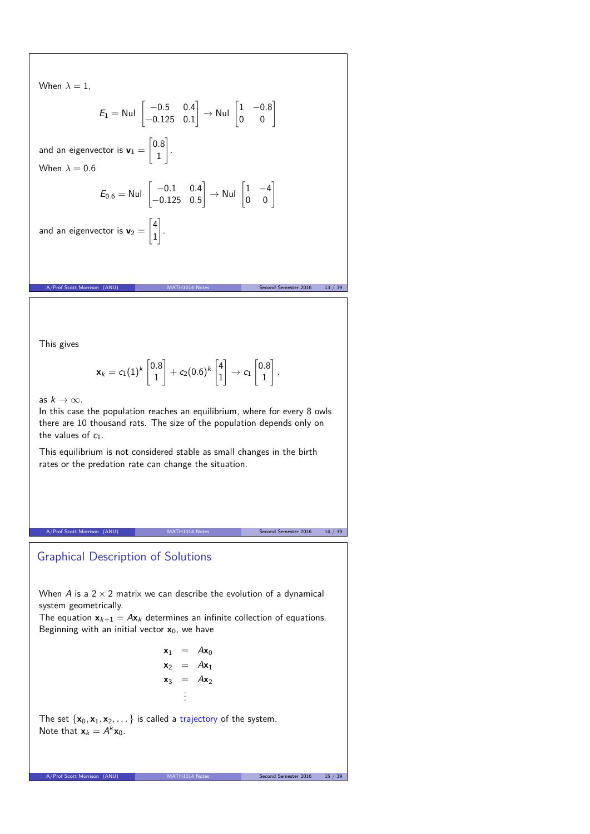When 
$$
\lambda = 1
$$
,  
\n
$$
E_1 = \text{Nul} \begin{bmatrix} -0.5 & 0.4 \\ -0.125 & 0.1 \end{bmatrix} \rightarrow \text{Nul} \begin{bmatrix} 1 & -0.8 \\ 0 & 0 \end{bmatrix}
$$
\nand an eigenvector is  $\mathbf{v}_1 = \begin{bmatrix} 0.8 \\ 1 \end{bmatrix}$ .  
\nWhen  $\lambda = 0.6$   
\n
$$
E_{0.6} = \text{Nul} \begin{bmatrix} -0.1 & 0.4 \\ -0.125 & 0.5 \end{bmatrix} \rightarrow \text{Nul} \begin{bmatrix} 1 & -4 \\ 0 & 0 \end{bmatrix}
$$
\nand an eigenvector is  $\mathbf{v}_2 = \begin{bmatrix} 4 \\ 1 \end{bmatrix}$ .  
\nA/Prof Scott Morrison (ANU)

This gives

$$
\mathbf{x}_k = c_1(1)^k \begin{bmatrix} 0.8\\1 \end{bmatrix} + c_2(0.6)^k \begin{bmatrix} 4\\1 \end{bmatrix} \rightarrow c_1 \begin{bmatrix} 0.8\\1 \end{bmatrix},
$$

as  $k \to \infty$ .

In this case the population reaches an equilibrium, where for every 8 owls there are 10 thousand rats. The size of the population depends only on the values of  $c_1$ .

This equilibrium is not considered stable as small changes in the birth rates or the predation rate can change the situation.

A/Prof Scott Morrison (ANU) MATH1014 Notes Second Semester 2016 14 / 39

## Graphical Description of Solutions

When  $A$  is a  $2 \times 2$  matrix we can describe the evolution of a dynamical system geometrically.

The equation  $\mathbf{x}_{k+1} = A\mathbf{x}_k$  determines an infinite collection of equations. Beginning with an initial vector **x**0, we have

> $\mathbf{x}_1 = A\mathbf{x}_0$  $x_2 = Ax_1$  $x_3 = Ax_2$ . . .

The set  $\{x_0, x_1, x_2, \dots\}$  is called a trajectory of the system. Note that  $\mathbf{x}_k = A^k \mathbf{x}_0$ .

A/Prof Scott Morrison (ANU) MATH1014 Notes Second Semester 2016 15 / 39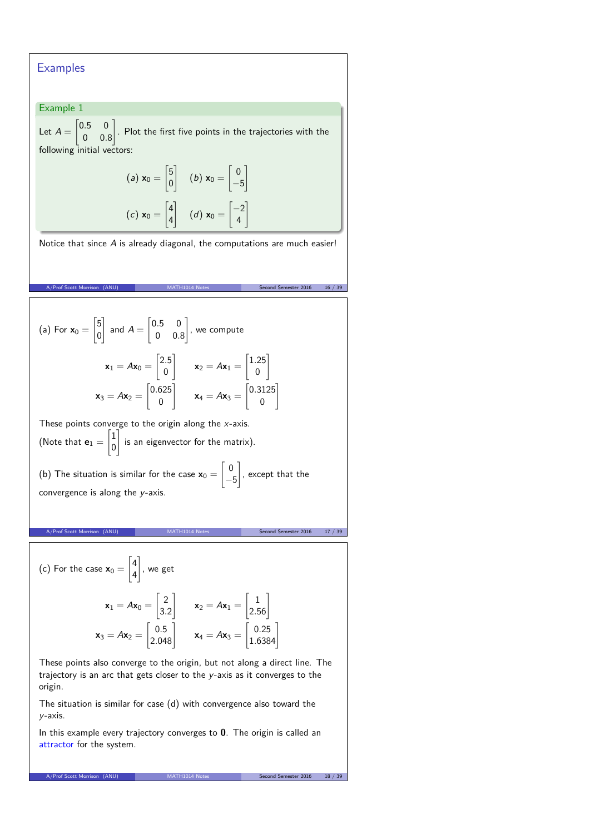## **Examples**

### Example 1

Let  $A =$  $\begin{bmatrix} 0.5 & 0 \end{bmatrix}$ 0 0*.*8 1 . Plot the first five points in the trajectories with the following initial vectors:

$$
(a) \mathbf{x}_0 = \begin{bmatrix} 5 \\ 0 \end{bmatrix} \quad (b) \mathbf{x}_0 = \begin{bmatrix} 0 \\ -5 \end{bmatrix}
$$

$$
(c) \mathbf{x}_0 = \begin{bmatrix} 4 \\ 4 \end{bmatrix} \quad (d) \mathbf{x}_0 = \begin{bmatrix} -2 \\ 4 \end{bmatrix}
$$

Notice that since A is already diagonal, the computations are much easier!

A/Prof Scott Morrison (ANU) MATH1014 Notes Second Semester 2016 16 / 39

(a) For  $x_0 =$  $\sqrt{5}$ 0 # and  $A =$  $\begin{bmatrix} 0.5 & 0 \end{bmatrix}$ 0 0*.*8 1 , we compute  $\mathbf{x}_1 = A\mathbf{x}_0 =$  $\sqrt{2.5}$ 0 1  $x_2 = Ax_1 =$  $\sqrt{1.25}$ 0  $\overline{1}$  $x_3 = Ax_2 =$  $[0.625]$ 0 1  $x_4 = Ax_3 =$  $[0.3125]$ 0 1

These points converge to the origin along the  $x$ -axis. (Note that  $\mathbf{e}_1 =$  $\lceil 1 \rceil$ 0 1 is an eigenvector for the matrix). (b) The situation is similar for the case  $\mathbf{x}_0 =$  $\lceil 0$ −5 1 , except that the

convergence is along the y-axis.

A/Prof Scott Morrison (ANU) MATH1014 Notes Second Semester 2016 17 / 39

(c) For the case 
$$
\mathbf{x}_0 = \begin{bmatrix} 4 \\ 4 \end{bmatrix}
$$
, we get  
\n
$$
\mathbf{x}_1 = A\mathbf{x}_0 = \begin{bmatrix} 2 \\ 3.2 \end{bmatrix} \qquad \mathbf{x}_2 = A\mathbf{x}_1 = \begin{bmatrix} 1 \\ 2.56 \end{bmatrix}
$$
\n
$$
\mathbf{x}_3 = A\mathbf{x}_2 = \begin{bmatrix} 0.5 \\ 2.048 \end{bmatrix} \qquad \mathbf{x}_4 = A\mathbf{x}_3 = \begin{bmatrix} 0.25 \\ 1.6384 \end{bmatrix}
$$

These points also converge to the origin, but not along a direct line. The trajectory is an arc that gets closer to the y-axis as it converges to the origin.

The situation is similar for case (d) with convergence also toward the y-axis.

In this example every trajectory converges to **0**. The origin is called an attractor for the system.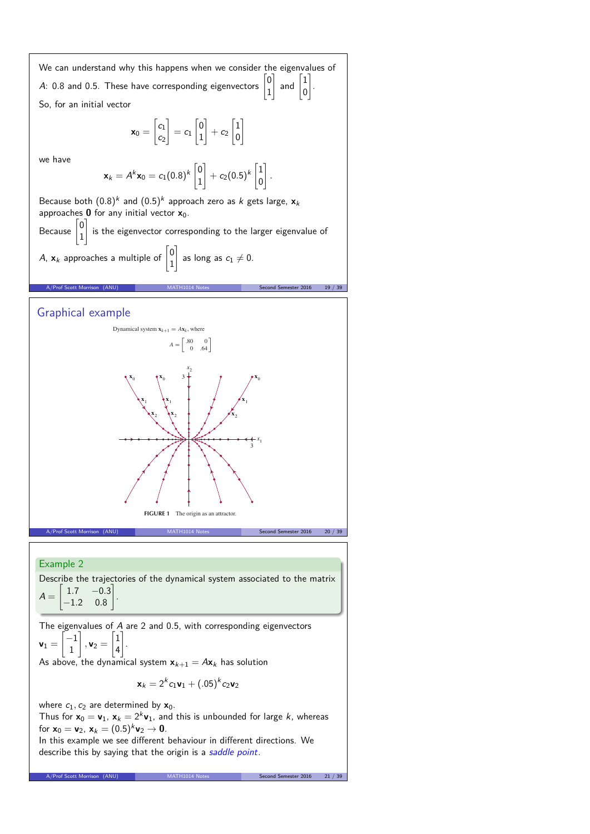

### Example 2

Describe the trajectories of the dynamical system associated to the matrix  $A =$  $\begin{bmatrix} 1.7 & -0.3 \end{bmatrix}$ −1*.*2 0*.*8  $\overline{1}$ .

The eigenvalues of A are 2 and 0*.*5, with corresponding eigenvectors  $v_1 =$  $\int$ −1 1 1  $, v_2 =$  $\Gamma$ 1  $\vert_4$ 1 .

As above, the dynamical system  $x_{k+1} = Ax_k$  has solution

$$
\mathbf{x}_k = 2^k c_1 \mathbf{v}_1 + (.05)^k c_2 \mathbf{v}_2
$$

where  $c_1$ ,  $c_2$  are determined by  $x_0$ .

Thus for  $\mathbf{x}_0 = \mathbf{v}_1$ ,  $\mathbf{x}_k = 2^k \mathbf{v}_1$ , and this is unbounded for large  $k$ , whereas for  $x_0 = v_2$ ,  $x_k = (0.5)^k v_2 \to 0$ .

A/Prof Scott Morrison (ANU) MATH1014 Notes Second Semester 2016 21 /

In this example we see different behaviour in different directions. We describe this by saying that the origin is a saddle point.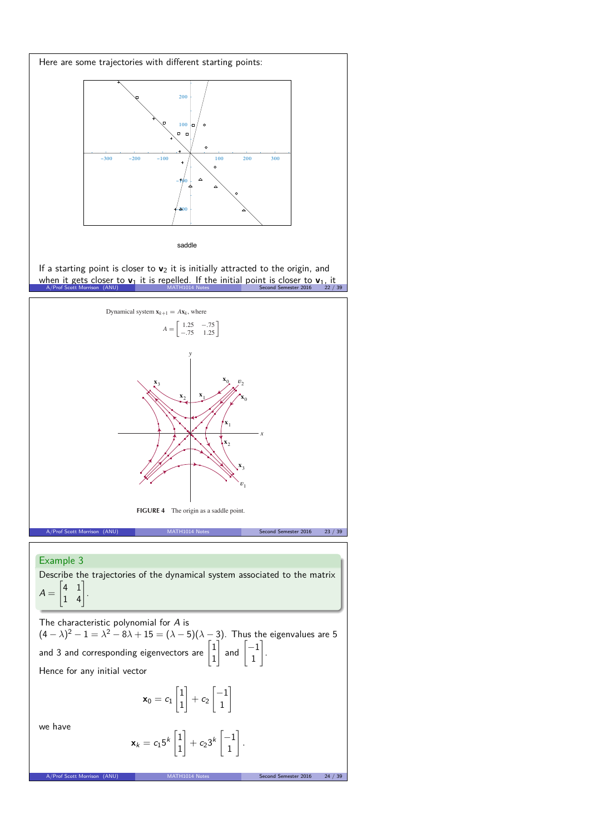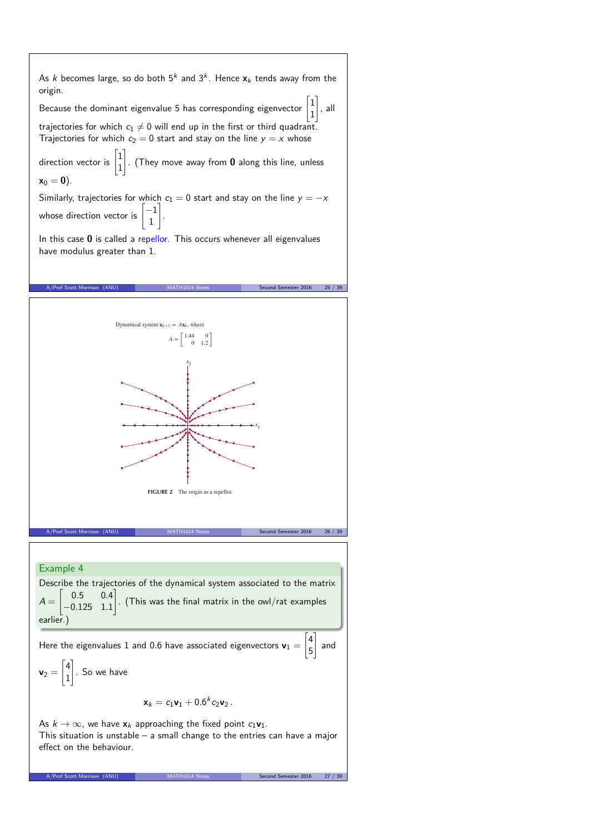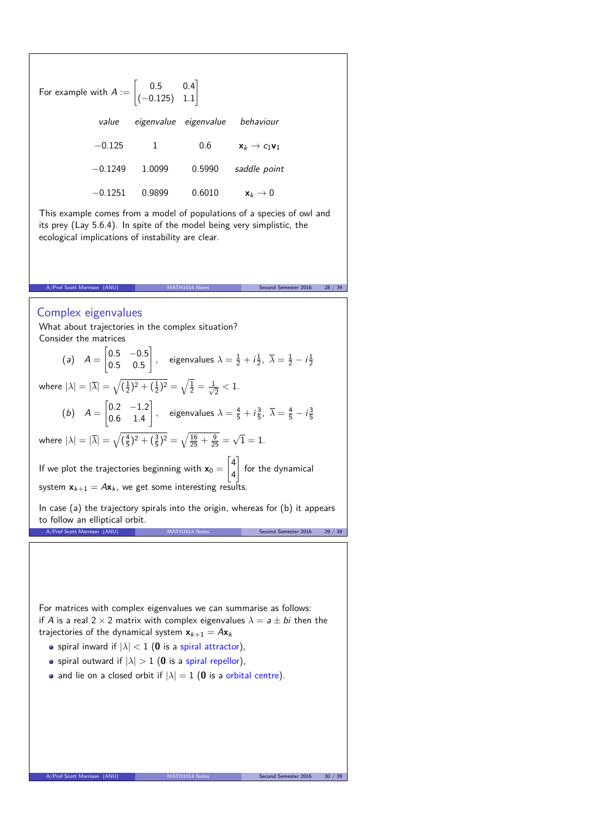For example with  $A := \begin{bmatrix} 0.5 & 0.4 \\ 0.125 & 1.1 \end{bmatrix}$ (−0*.*125) 1*.*1 1 value eigenvalue eigenvalue behaviour  $-0.125$  1 0*.6*  $x_k \to c_1 v_1$ −0*.*1249 1*.*0099 0*.*5990 saddle point −0*.*1251 0*.*9899 0*.*6010 **x**<sup>k</sup> → 0 This example comes from a model of populations of a species of owl and its prey (Lay 5.6.4). In spite of the model being very simplistic, the ecological implications of instability are clear. A/Prof Scott Morrison (ANU) MATH1014 Notes Second Semester 2016 28 / 39 Complex eigenvalues What about trajectories in the complex situation? Consider the matrices  $(a)$   $A =$  $\begin{bmatrix} 0.5 & -0.5 \end{bmatrix}$ 0*.*5 0*.*5 1 *,* eigenvalues  $\lambda = \frac{1}{2} + i\frac{1}{2}$ ,  $\overline{\lambda} = \frac{1}{2} - i\frac{1}{2}$ where  $|\lambda|=|\overline{\lambda}|=\sqrt{(\frac{1}{2})^2+(\frac{1}{2})^2}=\sqrt{\frac{1}{2}}=\frac{1}{\sqrt{2}}$  $\frac{1}{2} < 1$ .  $(b)$   $A =$  $\begin{bmatrix} 0.2 & -1.2 \end{bmatrix}$ 0*.*6 1*.*4 1 *,* eigenvalues  $\lambda = \frac{4}{5} + i\frac{3}{5}$ ,  $\overline{\lambda} = \frac{4}{5} - i\frac{3}{5}$ where  $|\lambda|=|\overline{\lambda}|=\sqrt{(\frac{4}{5})^2+(\frac{3}{5})^2}=\sqrt{\frac{16}{25}+\frac{9}{25}}=\sqrt{1}=1.$ If we plot the trajectories beginning with  $x_0 =$  $\lceil 4 \rceil$ 4 1 for the dynamical system  $x_{k+1} = Ax_k$ , we get some interesting results. In case (a) the trajectory spirals into the origin, whereas for  $(b)$  it appears to follow an elliptical orbit. A/Prof Scott Morrison (ANU) MATH1014 Notes Second Semester 2016 29 / 39 For matrices with complex eigenvalues we can summarise as follows: if A is a real  $2 \times 2$  matrix with complex eigenvalues  $\lambda = a \pm bi$  then the trajectories of the dynamical system  $x_{k+1} = Ax_k$ • spiral inward if  $|\lambda| < 1$  (0 is a spiral attractor), **•** spiral outward if  $|\lambda| > 1$  (0 is a spiral repellor), • and lie on a closed orbit if  $|\lambda| = 1$  (0 is a orbital centre).

A/Prof Scott Morri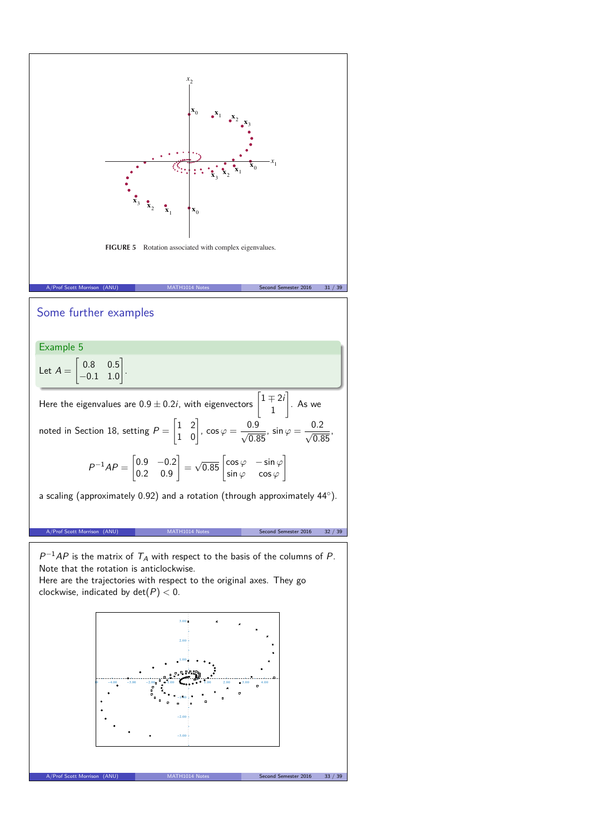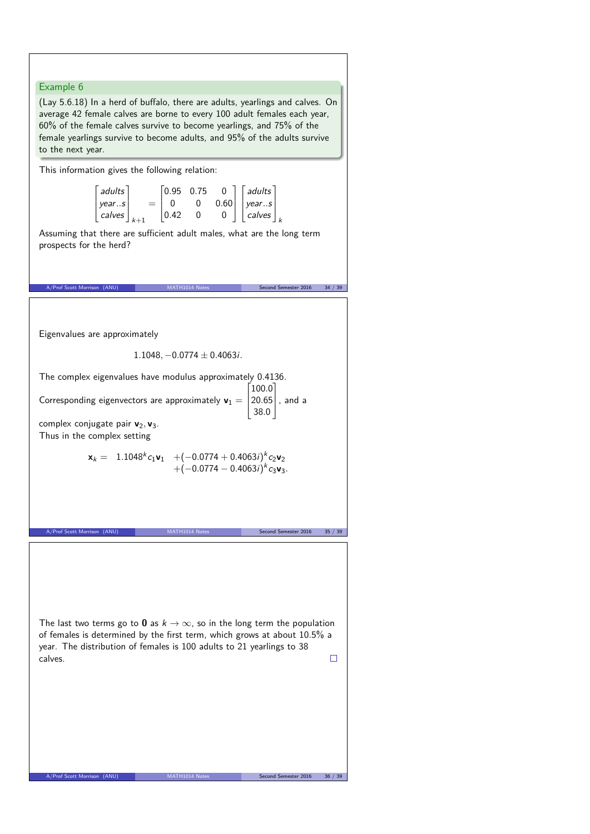